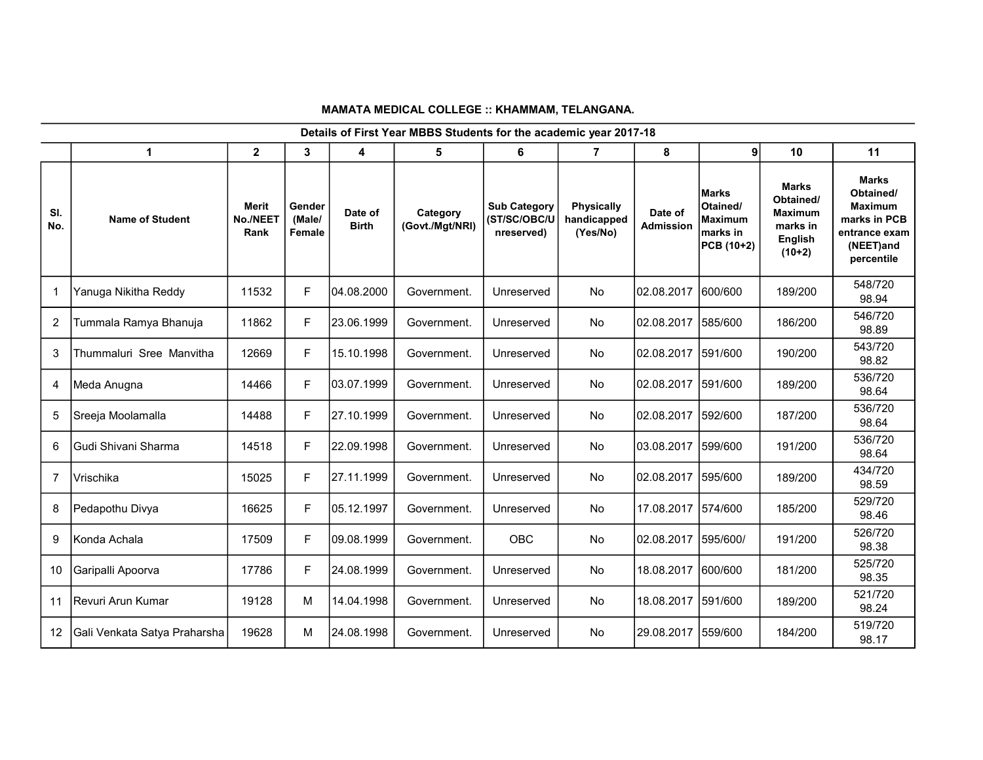|            | 1                            | $\mathbf{2}$              | 3                          | 4                       | 5                           | 6                                                 | $\overline{7}$                               | 8                           | g                                                                    | 10                                                                                    | 11                                                                                                      |
|------------|------------------------------|---------------------------|----------------------------|-------------------------|-----------------------------|---------------------------------------------------|----------------------------------------------|-----------------------------|----------------------------------------------------------------------|---------------------------------------------------------------------------------------|---------------------------------------------------------------------------------------------------------|
| SI.<br>No. | <b>Name of Student</b>       | Merit<br>No./NEET<br>Rank | Gender<br>(Male/<br>Female | Date of<br><b>Birth</b> | Category<br>(Govt./Mgt/NRI) | <b>Sub Category</b><br>(ST/SC/OBC/U<br>nreserved) | <b>Physically</b><br>handicapped<br>(Yes/No) | Date of<br><b>Admission</b> | <b>Marks</b><br>Otained/<br><b>Maximum</b><br>marks in<br>PCB (10+2) | <b>Marks</b><br>Obtained/<br><b>Maximum</b><br>marks in<br><b>English</b><br>$(10+2)$ | <b>Marks</b><br>Obtained/<br><b>Maximum</b><br>marks in PCB<br>entrance exam<br>(NEET)and<br>percentile |
| 1          | Yanuga Nikitha Reddy         | 11532                     | F                          | 04.08.2000              | Government.                 | Unreserved                                        | <b>No</b>                                    | 02.08.2017                  | 600/600                                                              | 189/200                                                                               | 548/720<br>98.94                                                                                        |
| 2          | Tummala Ramya Bhanuja        | 11862                     | F.                         | 23.06.1999              | Government.                 | Unreserved                                        | No                                           | 02.08.2017 585/600          |                                                                      | 186/200                                                                               | 546/720<br>98.89                                                                                        |
| 3          | Thummaluri Sree Manvitha     | 12669                     | F                          | 15.10.1998              | Government.                 | Unreserved                                        | <b>No</b>                                    | 02.08.2017                  | 591/600                                                              | 190/200                                                                               | 543/720<br>98.82                                                                                        |
| 4          | Meda Anugna                  | 14466                     | F                          | 103.07.1999             | Government.                 | Unreserved                                        | <b>No</b>                                    | 02.08.2017                  | 591/600                                                              | 189/200                                                                               | 536/720<br>98.64                                                                                        |
| 5          | Sreeja Moolamalla            | 14488                     | F                          | 27.10.1999              | Government.                 | Unreserved                                        | <b>No</b>                                    | 02.08.2017 592/600          |                                                                      | 187/200                                                                               | 536/720<br>98.64                                                                                        |
| 6          | Gudi Shivani Sharma          | 14518                     | F                          | 22.09.1998              | Government.                 | Unreserved                                        | <b>No</b>                                    | 03.08.2017                  | 599/600                                                              | 191/200                                                                               | 536/720<br>98.64                                                                                        |
| 7          | Vrischika                    | 15025                     | F                          | 27.11.1999              | Government.                 | Unreserved                                        | <b>No</b>                                    | 02.08.2017                  | 595/600                                                              | 189/200                                                                               | 434/720<br>98.59                                                                                        |
| 8          | Pedapothu Divya              | 16625                     | F                          | 05.12.1997              | Government.                 | Unreserved                                        | No                                           | 17.08.2017 574/600          |                                                                      | 185/200                                                                               | 529/720<br>98.46                                                                                        |
| 9          | Konda Achala                 | 17509                     | F                          | 09.08.1999              | Government.                 | <b>OBC</b>                                        | <b>No</b>                                    | 02.08.2017 595/600/         |                                                                      | 191/200                                                                               | 526/720<br>98.38                                                                                        |
| 10         | Garipalli Apoorva            | 17786                     | F.                         | 24.08.1999              | Government.                 | Unreserved                                        | No                                           | 18.08.2017                  | 600/600                                                              | 181/200                                                                               | 525/720<br>98.35                                                                                        |
| 11         | Revuri Arun Kumar            | 19128                     | M                          | 14.04.1998              | Government.                 | Unreserved                                        | No                                           | 18.08.2017 591/600          |                                                                      | 189/200                                                                               | 521/720<br>98.24                                                                                        |
| 12         | Gali Venkata Satya Praharsha | 19628                     | м                          | 24.08.1998              | Government.                 | Unreserved                                        | No                                           | 29.08.2017 559/600          |                                                                      | 184/200                                                                               | 519/720<br>98.17                                                                                        |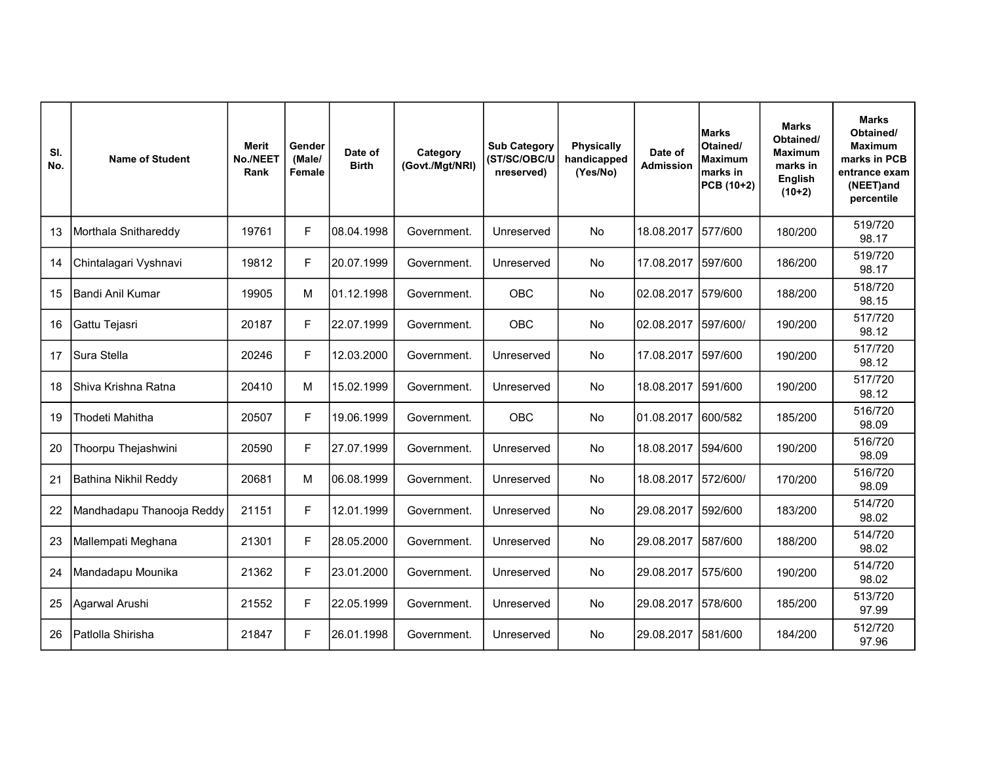| SI.<br>No. | <b>Name of Student</b>    | <b>Merit</b><br>No./NEET<br>Rank | Gender<br>(Male/<br>Female | Date of<br><b>Birth</b> | Category<br>(Govt./Mgt/NRI) | <b>Sub Category</b><br>(ST/SC/OBC/U<br>nreserved) | <b>Physically</b><br>handicapped<br>(Yes/No) | Date of<br><b>Admission</b> | <b>Marks</b><br>Otained/<br><b>Maximum</b><br>marks in<br>PCB (10+2) | <b>Marks</b><br>Obtained/<br><b>Maximum</b><br>marks in<br>English<br>$(10+2)$ | <b>Marks</b><br>Obtained/<br><b>Maximum</b><br>marks in PCB<br>entrance exam<br>(NEET)and<br>percentile |
|------------|---------------------------|----------------------------------|----------------------------|-------------------------|-----------------------------|---------------------------------------------------|----------------------------------------------|-----------------------------|----------------------------------------------------------------------|--------------------------------------------------------------------------------|---------------------------------------------------------------------------------------------------------|
| 13         | Morthala Snithareddy      | 19761                            | F.                         | 08.04.1998              | Government.                 | Unreserved                                        | <b>No</b>                                    | 18.08.2017                  | 577/600                                                              | 180/200                                                                        | 519/720<br>98.17                                                                                        |
| 14         | Chintalagari Vyshnavi     | 19812                            | F                          | 20.07.1999              | Government.                 | Unreserved                                        | No                                           | 17.08.2017                  | 597/600                                                              | 186/200                                                                        | 519/720<br>98.17                                                                                        |
| 15         | Bandi Anil Kumar          | 19905                            | м                          | 01.12.1998              | Government.                 | <b>OBC</b>                                        | <b>No</b>                                    | 02.08.2017                  | 579/600                                                              | 188/200                                                                        | 518/720<br>98.15                                                                                        |
| 16         | Gattu Tejasri             | 20187                            | F                          | 22.07.1999              | Government.                 | <b>OBC</b>                                        | No                                           | 02.08.2017                  | 597/600/                                                             | 190/200                                                                        | 517/720<br>98.12                                                                                        |
| 17         | Sura Stella               | 20246                            | F                          | 12.03.2000              | Government.                 | Unreserved                                        | <b>No</b>                                    | 17.08.2017                  | 597/600                                                              | 190/200                                                                        | 517/720<br>98.12                                                                                        |
| 18         | Shiva Krishna Ratna       | 20410                            | M                          | 15.02.1999              | Government.                 | Unreserved                                        | No                                           | 18.08.2017 591/600          |                                                                      | 190/200                                                                        | 517/720<br>98.12                                                                                        |
| 19         | <b>Thodeti Mahitha</b>    | 20507                            | F.                         | 19.06.1999              | Government.                 | <b>OBC</b>                                        | <b>No</b>                                    | 01.08.2017                  | 600/582                                                              | 185/200                                                                        | 516/720<br>98.09                                                                                        |
| 20         | Thoorpu Thejashwini       | 20590                            | F                          | 27.07.1999              | Government.                 | Unreserved                                        | <b>No</b>                                    | 18.08.2017                  | 594/600                                                              | 190/200                                                                        | 516/720<br>98.09                                                                                        |
| 21         | Bathina Nikhil Reddy      | 20681                            | м                          | 06.08.1999              | Government.                 | Unreserved                                        | <b>No</b>                                    | 18.08.2017                  | 572/600/                                                             | 170/200                                                                        | 516/720<br>98.09                                                                                        |
| 22         | Mandhadapu Thanooja Reddy | 21151                            | F.                         | 12.01.1999              | Government.                 | Unreserved                                        | No                                           | 29.08.2017                  | 592/600                                                              | 183/200                                                                        | 514/720<br>98.02                                                                                        |
| 23         | Mallempati Meghana        | 21301                            | F                          | 28.05.2000              | Government.                 | Unreserved                                        | <b>No</b>                                    | 29.08.2017                  | 587/600                                                              | 188/200                                                                        | 514/720<br>98.02                                                                                        |
| 24         | Mandadapu Mounika         | 21362                            | F                          | 23.01.2000              | Government.                 | Unreserved                                        | No                                           | 29.08.2017                  | 575/600                                                              | 190/200                                                                        | 514/720<br>98.02                                                                                        |
| 25         | Agarwal Arushi            | 21552                            | F                          | 22.05.1999              | Government.                 | Unreserved                                        | No                                           | 29.08.2017                  | 578/600                                                              | 185/200                                                                        | 513/720<br>97.99                                                                                        |
| 26         | Patlolla Shirisha         | 21847                            | F                          | 26.01.1998              | Government.                 | Unreserved                                        | <b>No</b>                                    | 29.08.2017                  | 581/600                                                              | 184/200                                                                        | 512/720<br>97.96                                                                                        |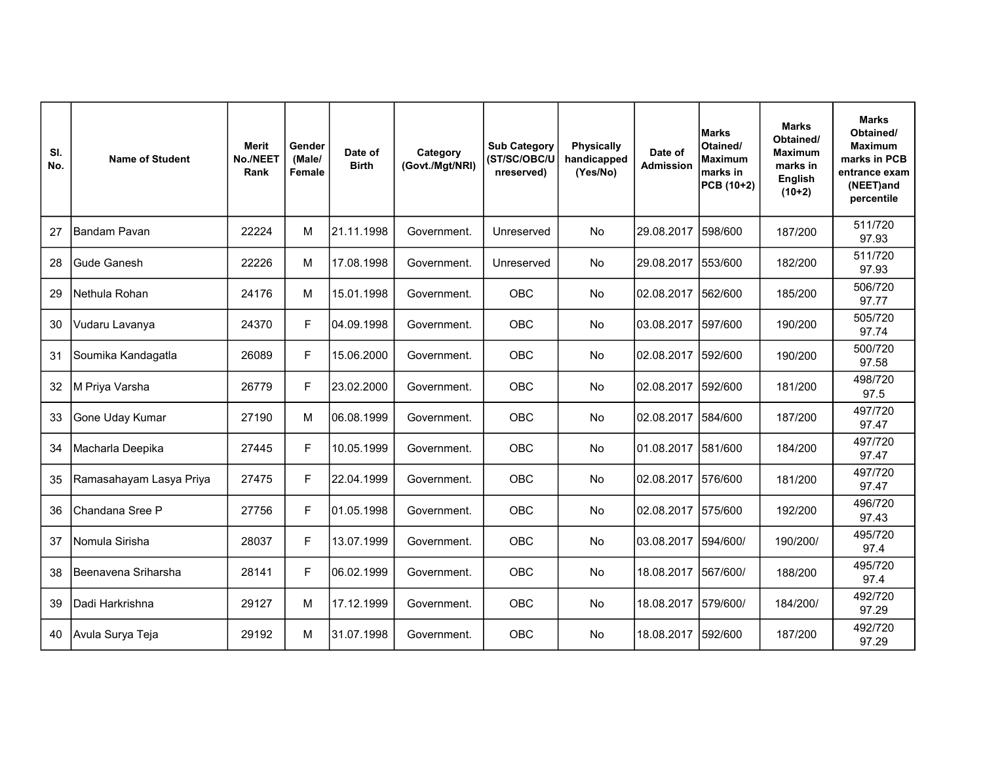| SI.<br>No. | <b>Name of Student</b>  | <b>Merit</b><br>No./NEET<br>Rank | Gender<br>(Male/<br>Female | Date of<br><b>Birth</b> | Category<br>(Govt./Mgt/NRI) | <b>Sub Category</b><br>(ST/SC/OBC/U<br>nreserved) | <b>Physically</b><br>handicapped<br>(Yes/No) | Date of<br><b>Admission</b> | <b>Marks</b><br>Otained/<br>Maximum<br>marks in<br>PCB (10+2) | <b>Marks</b><br>Obtained/<br><b>Maximum</b><br>marks in<br>English<br>$(10+2)$ | <b>Marks</b><br>Obtained/<br><b>Maximum</b><br>marks in PCB<br>entrance exam<br>(NEET)and<br>percentile |
|------------|-------------------------|----------------------------------|----------------------------|-------------------------|-----------------------------|---------------------------------------------------|----------------------------------------------|-----------------------------|---------------------------------------------------------------|--------------------------------------------------------------------------------|---------------------------------------------------------------------------------------------------------|
| 27         | <b>Bandam Pavan</b>     | 22224                            | м                          | 21.11.1998              | Government.                 | Unreserved                                        | No                                           | 29.08.2017                  | 598/600                                                       | 187/200                                                                        | 511/720<br>97.93                                                                                        |
| 28         | Gude Ganesh             | 22226                            | M                          | 17.08.1998              | Government.                 | Unreserved                                        | No                                           | 29.08.2017                  | 553/600                                                       | 182/200                                                                        | 511/720<br>97.93                                                                                        |
| 29         | Nethula Rohan           | 24176                            | M                          | 15.01.1998              | Government.                 | <b>OBC</b>                                        | No                                           | 02.08.2017                  | 562/600                                                       | 185/200                                                                        | 506/720<br>97.77                                                                                        |
| 30         | Vudaru Lavanya          | 24370                            | F                          | 04.09.1998              | Government.                 | <b>OBC</b>                                        | No                                           | 03.08.2017                  | 597/600                                                       | 190/200                                                                        | 505/720<br>97.74                                                                                        |
| 31         | Soumika Kandagatla      | 26089                            | F                          | 15.06.2000              | Government.                 | <b>OBC</b>                                        | <b>No</b>                                    | 02.08.2017                  | 592/600                                                       | 190/200                                                                        | 500/720<br>97.58                                                                                        |
| 32         | M Priya Varsha          | 26779                            | F                          | 23.02.2000              | Government.                 | OBC                                               | No                                           | 02.08.2017                  | 592/600                                                       | 181/200                                                                        | 498/720<br>97.5                                                                                         |
| 33         | Gone Uday Kumar         | 27190                            | M                          | 06.08.1999              | Government.                 | OBC                                               | No                                           | 02.08.2017                  | 584/600                                                       | 187/200                                                                        | 497/720<br>97.47                                                                                        |
| 34         | Macharla Deepika        | 27445                            | F                          | 10.05.1999              | Government.                 | <b>OBC</b>                                        | No                                           | 01.08.2017                  | 581/600                                                       | 184/200                                                                        | 497/720<br>97.47                                                                                        |
| 35         | Ramasahayam Lasya Priya | 27475                            | F.                         | 22.04.1999              | Government.                 | <b>OBC</b>                                        | <b>No</b>                                    | 02.08.2017                  | 576/600                                                       | 181/200                                                                        | 497/720<br>97.47                                                                                        |
| 36         | Chandana Sree P         | 27756                            | F                          | 01.05.1998              | Government.                 | <b>OBC</b>                                        | No                                           | 02.08.2017                  | 575/600                                                       | 192/200                                                                        | 496/720<br>97.43                                                                                        |
| 37         | Nomula Sirisha          | 28037                            | F                          | 13.07.1999              | Government.                 | <b>OBC</b>                                        | <b>No</b>                                    | 03.08.2017                  | 594/600/                                                      | 190/200/                                                                       | 495/720<br>97.4                                                                                         |
| 38         | Beenavena Sriharsha     | 28141                            | F                          | 06.02.1999              | Government.                 | OBC                                               | No                                           | 18.08.2017                  | 567/600/                                                      | 188/200                                                                        | 495/720<br>97.4                                                                                         |
| 39         | Dadi Harkrishna         | 29127                            | м                          | 17.12.1999              | Government.                 | OBC                                               | No                                           | 18.08.2017                  | 579/600/                                                      | 184/200/                                                                       | 492/720<br>97.29                                                                                        |
| 40         | Avula Surya Teja        | 29192                            | M                          | 31.07.1998              | Government.                 | OBC                                               | No                                           | 18.08.2017                  | 592/600                                                       | 187/200                                                                        | 492/720<br>97.29                                                                                        |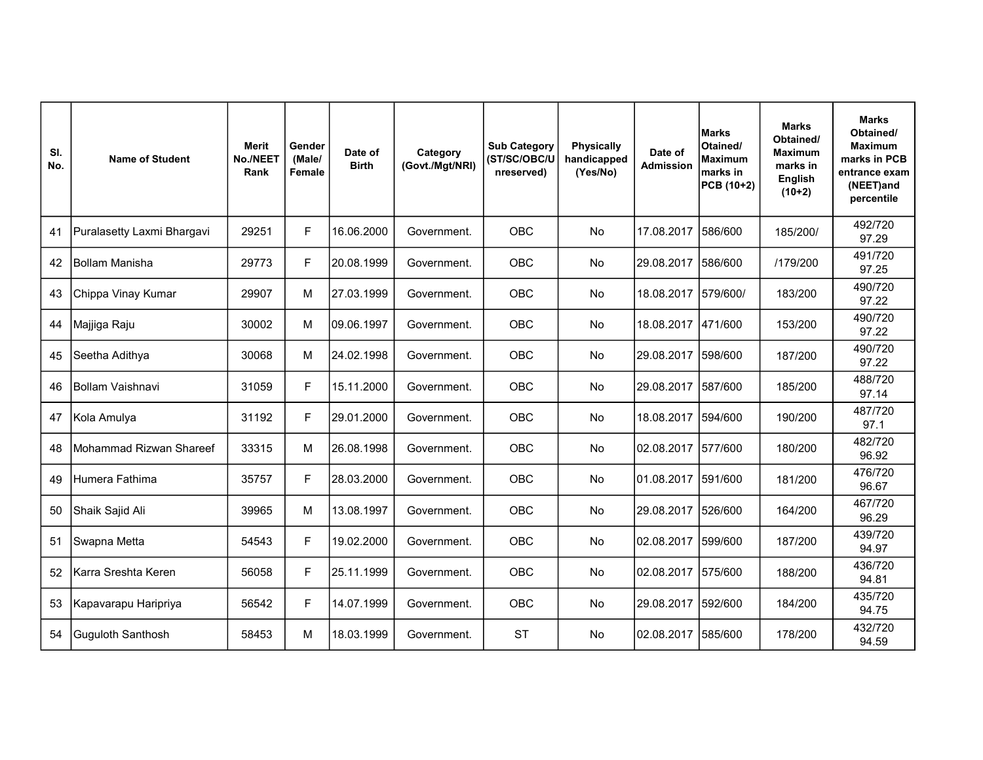| SI.<br>No. | <b>Name of Student</b>     | <b>Merit</b><br>No./NEET<br>Rank | Gender<br>(Male/<br>Female | Date of<br><b>Birth</b> | Category<br>(Govt./Mgt/NRI) | <b>Sub Category</b><br>(ST/SC/OBC/U<br>nreserved) | <b>Physically</b><br>handicapped<br>(Yes/No) | Date of<br><b>Admission</b> | <b>Marks</b><br>Otained/<br>Maximum<br>marks in<br>PCB (10+2) | Marks<br>Obtained/<br><b>Maximum</b><br>marks in<br>English<br>$(10+2)$ | <b>Marks</b><br>Obtained/<br><b>Maximum</b><br>marks in PCB<br>entrance exam<br>(NEET)and<br>percentile |
|------------|----------------------------|----------------------------------|----------------------------|-------------------------|-----------------------------|---------------------------------------------------|----------------------------------------------|-----------------------------|---------------------------------------------------------------|-------------------------------------------------------------------------|---------------------------------------------------------------------------------------------------------|
| 41         | Puralasetty Laxmi Bhargavi | 29251                            | F                          | 16.06.2000              | Government.                 | <b>OBC</b>                                        | No                                           | 17.08.2017                  | 586/600                                                       | 185/200/                                                                | 492/720<br>97.29                                                                                        |
| 42         | <b>Bollam Manisha</b>      | 29773                            | F                          | 20.08.1999              | Government.                 | <b>OBC</b>                                        | No                                           | 29.08.2017                  | 586/600                                                       | /179/200                                                                | 491/720<br>97.25                                                                                        |
| 43         | Chippa Vinay Kumar         | 29907                            | м                          | 27.03.1999              | Government.                 | <b>OBC</b>                                        | No                                           | 18.08.2017                  | 579/600/                                                      | 183/200                                                                 | 490/720<br>97.22                                                                                        |
| 44         | Majjiga Raju               | 30002                            | м                          | 09.06.1997              | Government.                 | <b>OBC</b>                                        | No                                           | 18.08.2017                  | 471/600                                                       | 153/200                                                                 | 490/720<br>97.22                                                                                        |
| 45         | Seetha Adithya             | 30068                            | м                          | 24.02.1998              | Government.                 | <b>OBC</b>                                        | No                                           | 29.08.2017                  | 598/600                                                       | 187/200                                                                 | 490/720<br>97.22                                                                                        |
| 46         | Bollam Vaishnavi           | 31059                            | F                          | 15.11.2000              | Government.                 | OBC                                               | No                                           | 29.08.2017                  | 587/600                                                       | 185/200                                                                 | 488/720<br>97.14                                                                                        |
| 47         | Kola Amulya                | 31192                            | F                          | 29.01.2000              | Government.                 | OBC                                               | No                                           | 18.08.2017                  | 594/600                                                       | 190/200                                                                 | 487/720<br>97.1                                                                                         |
| 48         | Mohammad Rizwan Shareef    | 33315                            | м                          | 26.08.1998              | Government.                 | <b>OBC</b>                                        | No                                           | 02.08.2017                  | 577/600                                                       | 180/200                                                                 | 482/720<br>96.92                                                                                        |
| 49         | Humera Fathima             | 35757                            | F                          | 28.03.2000              | Government.                 | <b>OBC</b>                                        | No                                           | 01.08.2017                  | 591/600                                                       | 181/200                                                                 | 476/720<br>96.67                                                                                        |
| 50         | Shaik Sajid Ali            | 39965                            | м                          | 13.08.1997              | Government.                 | <b>OBC</b>                                        | No                                           | 29.08.2017                  | 526/600                                                       | 164/200                                                                 | 467/720<br>96.29                                                                                        |
| 51         | Swapna Metta               | 54543                            | F                          | 19.02.2000              | Government.                 | <b>OBC</b>                                        | <b>No</b>                                    | 02.08.2017                  | 599/600                                                       | 187/200                                                                 | 439/720<br>94.97                                                                                        |
| 52         | Karra Sreshta Keren        | 56058                            | F                          | 25.11.1999              | Government.                 | OBC                                               | No                                           | 02.08.2017                  | 575/600                                                       | 188/200                                                                 | 436/720<br>94.81                                                                                        |
| 53         | Kapavarapu Haripriya       | 56542                            | F                          | 14.07.1999              | Government.                 | OBC                                               | No                                           | 29.08.2017                  | 592/600                                                       | 184/200                                                                 | 435/720<br>94.75                                                                                        |
| 54         | <b>Guguloth Santhosh</b>   | 58453                            | M                          | 18.03.1999              | Government.                 | <b>ST</b>                                         | No                                           | 02.08.2017                  | 585/600                                                       | 178/200                                                                 | 432/720<br>94.59                                                                                        |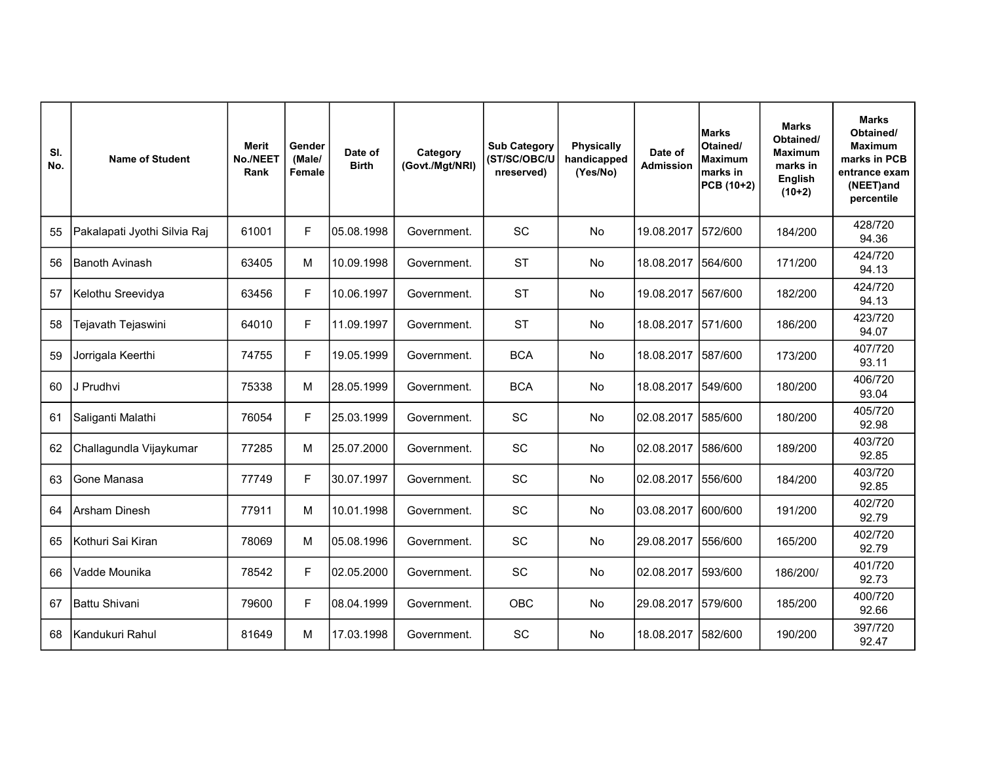| SI.<br>No. | <b>Name of Student</b>       | <b>Merit</b><br>No./NEET<br>Rank | Gender<br>(Male/<br>Female | Date of<br><b>Birth</b> | Category<br>(Govt./Mgt/NRI) | <b>Sub Category</b><br>(ST/SC/OBC/U<br>nreserved) | <b>Physically</b><br>handicapped<br>(Yes/No) | Date of<br><b>Admission</b> | <b>Marks</b><br>Otained/<br><b>Maximum</b><br>marks in<br>PCB (10+2) | <b>Marks</b><br>Obtained/<br><b>Maximum</b><br>marks in<br>English<br>$(10+2)$ | <b>Marks</b><br>Obtained/<br><b>Maximum</b><br>marks in PCB<br>entrance exam<br>(NEET)and<br>percentile |
|------------|------------------------------|----------------------------------|----------------------------|-------------------------|-----------------------------|---------------------------------------------------|----------------------------------------------|-----------------------------|----------------------------------------------------------------------|--------------------------------------------------------------------------------|---------------------------------------------------------------------------------------------------------|
| 55         | Pakalapati Jyothi Silvia Raj | 61001                            | F.                         | 05.08.1998              | Government.                 | SC                                                | <b>No</b>                                    | 19.08.2017                  | 572/600                                                              | 184/200                                                                        | 428/720<br>94.36                                                                                        |
| 56         | <b>Banoth Avinash</b>        | 63405                            | M                          | 10.09.1998              | Government.                 | <b>ST</b>                                         | <b>No</b>                                    | 18.08.2017                  | 564/600                                                              | 171/200                                                                        | 424/720<br>94.13                                                                                        |
| 57         | Kelothu Sreevidya            | 63456                            | F.                         | 10.06.1997              | Government.                 | <b>ST</b>                                         | <b>No</b>                                    | 19.08.2017                  | 567/600                                                              | 182/200                                                                        | 424/720<br>94.13                                                                                        |
| 58         | Tejavath Tejaswini           | 64010                            | F                          | 11.09.1997              | Government.                 | <b>ST</b>                                         | No                                           | 18.08.2017                  | 571/600                                                              | 186/200                                                                        | 423/720<br>94.07                                                                                        |
| 59         | Jorrigala Keerthi            | 74755                            | F                          | 19.05.1999              | Government.                 | <b>BCA</b>                                        | <b>No</b>                                    | 18.08.2017                  | 587/600                                                              | 173/200                                                                        | 407/720<br>93.11                                                                                        |
| 60         | J Prudhvi                    | 75338                            | M                          | 28.05.1999              | Government.                 | <b>BCA</b>                                        | No                                           | 18.08.2017                  | 549/600                                                              | 180/200                                                                        | 406/720<br>93.04                                                                                        |
| 61         | Saliganti Malathi            | 76054                            | F.                         | 25.03.1999              | Government.                 | SC                                                | <b>No</b>                                    | 02.08.2017                  | 585/600                                                              | 180/200                                                                        | 405/720<br>92.98                                                                                        |
| 62         | Challagundla Vijaykumar      | 77285                            | м                          | 25.07.2000              | Government.                 | SC                                                | <b>No</b>                                    | 02.08.2017                  | 586/600                                                              | 189/200                                                                        | 403/720<br>92.85                                                                                        |
| 63         | Gone Manasa                  | 77749                            | F                          | 30.07.1997              | Government.                 | SC                                                | <b>No</b>                                    | 02.08.2017                  | 556/600                                                              | 184/200                                                                        | 403/720<br>92.85                                                                                        |
| 64         | <b>Arsham Dinesh</b>         | 77911                            | м                          | 10.01.1998              | Government.                 | SC                                                | <b>No</b>                                    | 03.08.2017                  | 600/600                                                              | 191/200                                                                        | 402/720<br>92.79                                                                                        |
| 65         | Kothuri Sai Kiran            | 78069                            | м                          | 05.08.1996              | Government.                 | <b>SC</b>                                         | <b>No</b>                                    | 29.08.2017                  | 556/600                                                              | 165/200                                                                        | 402/720<br>92.79                                                                                        |
| 66         | Vadde Mounika                | 78542                            | F                          | 02.05.2000              | Government.                 | SC                                                | No                                           | 02.08.2017                  | 593/600                                                              | 186/200/                                                                       | 401/720<br>92.73                                                                                        |
| 67         | Battu Shivani                | 79600                            | F                          | 08.04.1999              | Government.                 | OBC                                               | No                                           | 29.08.2017                  | 579/600                                                              | 185/200                                                                        | 400/720<br>92.66                                                                                        |
| 68         | Kandukuri Rahul              | 81649                            | M                          | 17.03.1998              | Government.                 | SC                                                | <b>No</b>                                    | 18.08.2017                  | 582/600                                                              | 190/200                                                                        | 397/720<br>92.47                                                                                        |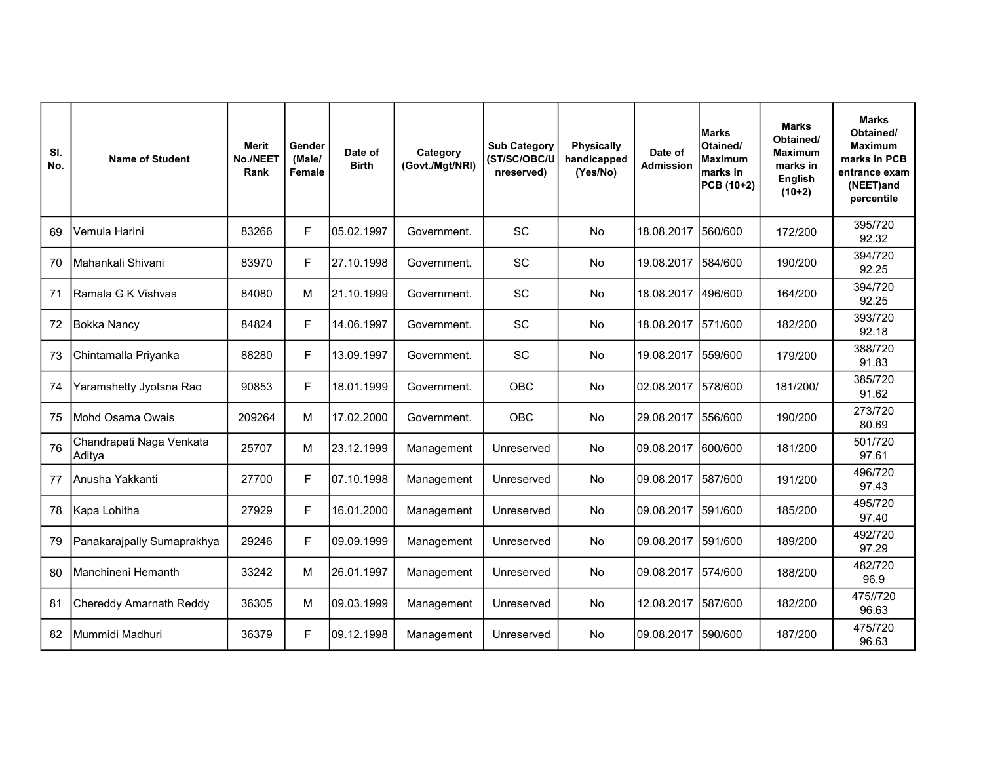| SI.<br>No. | <b>Name of Student</b>             | <b>Merit</b><br>No./NEET<br>Rank | Gender<br>(Male/<br>Female | Date of<br><b>Birth</b> | Category<br>(Govt./Mgt/NRI) | <b>Sub Category</b><br>(ST/SC/OBC/U<br>nreserved) | <b>Physically</b><br>handicapped<br>(Yes/No) | Date of<br><b>Admission</b> | <b>Marks</b><br>Otained/<br><b>Maximum</b><br>marks in<br>PCB (10+2) | <b>Marks</b><br>Obtained/<br><b>Maximum</b><br>marks in<br>English<br>$(10+2)$ | <b>Marks</b><br>Obtained/<br><b>Maximum</b><br>marks in PCB<br>entrance exam<br>(NEET)and<br>percentile |
|------------|------------------------------------|----------------------------------|----------------------------|-------------------------|-----------------------------|---------------------------------------------------|----------------------------------------------|-----------------------------|----------------------------------------------------------------------|--------------------------------------------------------------------------------|---------------------------------------------------------------------------------------------------------|
| 69         | Vemula Harini                      | 83266                            | F                          | 05.02.1997              | Government.                 | <b>SC</b>                                         | No                                           | 18.08.2017                  | 560/600                                                              | 172/200                                                                        | 395/720<br>92.32                                                                                        |
| 70         | Mahankali Shivani                  | 83970                            | F                          | 27.10.1998              | Government.                 | <b>SC</b>                                         | No                                           | 19.08.2017                  | 584/600                                                              | 190/200                                                                        | 394/720<br>92.25                                                                                        |
| 71         | Ramala G K Vishvas                 | 84080                            | м                          | 21.10.1999              | Government.                 | <b>SC</b>                                         | No                                           | 18.08.2017                  | 496/600                                                              | 164/200                                                                        | 394/720<br>92.25                                                                                        |
| 72         | <b>Bokka Nancy</b>                 | 84824                            | F                          | 14.06.1997              | Government.                 | SC                                                | <b>No</b>                                    | 18.08.2017                  | 571/600                                                              | 182/200                                                                        | 393/720<br>92.18                                                                                        |
| 73         | Chintamalla Priyanka               | 88280                            | F                          | 13.09.1997              | Government.                 | SC                                                | <b>No</b>                                    | 19.08.2017                  | 559/600                                                              | 179/200                                                                        | 388/720<br>91.83                                                                                        |
| 74         | Yaramshetty Jyotsna Rao            | 90853                            | F                          | 18.01.1999              | Government.                 | <b>OBC</b>                                        | <b>No</b>                                    | 02.08.2017                  | 578/600                                                              | 181/200/                                                                       | 385/720<br>91.62                                                                                        |
| 75         | Mohd Osama Owais                   | 209264                           | м                          | 17.02.2000              | Government.                 | <b>OBC</b>                                        | No                                           | 29.08.2017                  | 556/600                                                              | 190/200                                                                        | 273/720<br>80.69                                                                                        |
| 76         | Chandrapati Naga Venkata<br>Aditya | 25707                            | М                          | 23.12.1999              | Management                  | Unreserved                                        | No                                           | 09.08.2017                  | 600/600                                                              | 181/200                                                                        | 501/720<br>97.61                                                                                        |
| 77         | Anusha Yakkanti                    | 27700                            | F                          | 07.10.1998              | Management                  | Unreserved                                        | No                                           | 09.08.2017                  | 587/600                                                              | 191/200                                                                        | 496/720<br>97.43                                                                                        |
| 78         | Kapa Lohitha                       | 27929                            | F                          | 16.01.2000              | Management                  | Unreserved                                        | <b>No</b>                                    | 09.08.2017                  | 591/600                                                              | 185/200                                                                        | 495/720<br>97.40                                                                                        |
| 79         | Panakarajpally Sumaprakhya         | 29246                            | F                          | 09.09.1999              | Management                  | Unreserved                                        | <b>No</b>                                    | 09.08.2017                  | 591/600                                                              | 189/200                                                                        | 492/720<br>97.29                                                                                        |
| 80         | Manchineni Hemanth                 | 33242                            | м                          | 26.01.1997              | Management                  | Unreserved                                        | No                                           | 09.08.2017                  | 574/600                                                              | 188/200                                                                        | 482/720<br>96.9                                                                                         |
| 81         | Chereddy Amarnath Reddy            | 36305                            | м                          | 09.03.1999              | Management                  | Unreserved                                        | No                                           | 12.08.2017                  | 587/600                                                              | 182/200                                                                        | 475//720<br>96.63                                                                                       |
| 82         | Mummidi Madhuri                    | 36379                            | F                          | 09.12.1998              | Management                  | Unreserved                                        | <b>No</b>                                    | 09.08.2017                  | 590/600                                                              | 187/200                                                                        | 475/720<br>96.63                                                                                        |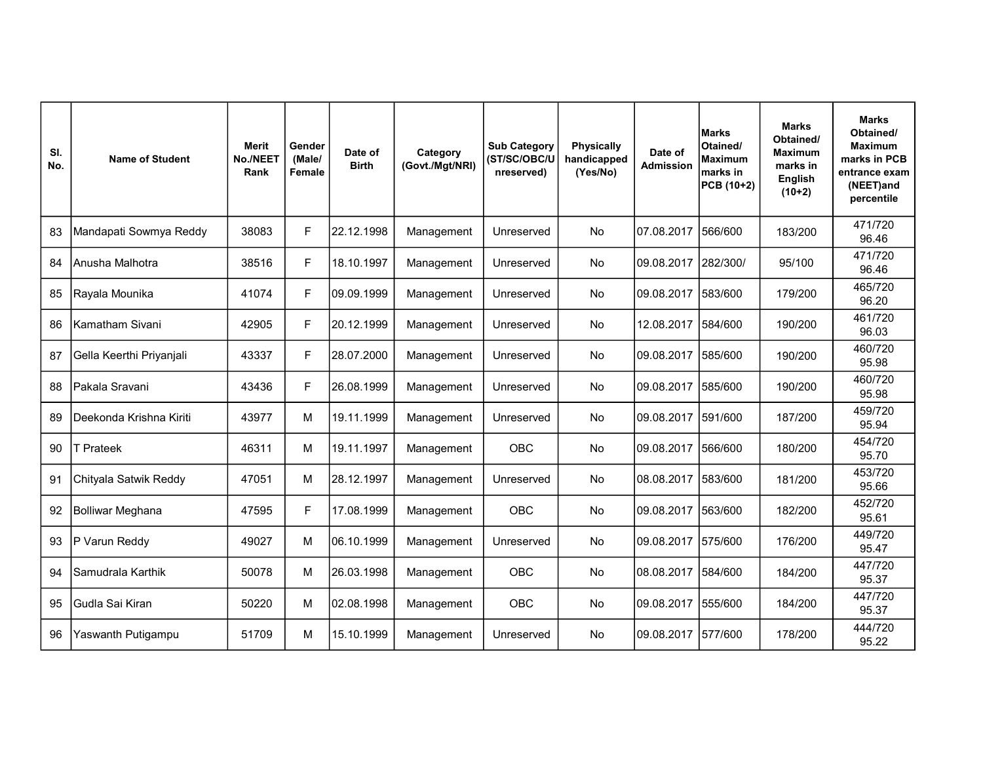| SI.<br>No. | <b>Name of Student</b>   | <b>Merit</b><br>No./NEET<br>Rank | Gender<br>(Male/<br>Female | Date of<br><b>Birth</b> | Category<br>(Govt./Mgt/NRI) | <b>Sub Category</b><br>(ST/SC/OBC/U<br>nreserved) | <b>Physically</b><br>handicapped<br>(Yes/No) | Date of<br><b>Admission</b> | <b>Marks</b><br>Otained/<br><b>Maximum</b><br>marks in<br>PCB (10+2) | <b>Marks</b><br>Obtained/<br><b>Maximum</b><br>marks in<br>English<br>$(10+2)$ | <b>Marks</b><br>Obtained/<br><b>Maximum</b><br>marks in PCB<br>entrance exam<br>(NEET)and<br>percentile |
|------------|--------------------------|----------------------------------|----------------------------|-------------------------|-----------------------------|---------------------------------------------------|----------------------------------------------|-----------------------------|----------------------------------------------------------------------|--------------------------------------------------------------------------------|---------------------------------------------------------------------------------------------------------|
| 83         | Mandapati Sowmya Reddy   | 38083                            | F.                         | 22.12.1998              | Management                  | Unreserved                                        | <b>No</b>                                    | 07.08.2017                  | 566/600                                                              | 183/200                                                                        | 471/720<br>96.46                                                                                        |
| 84         | Anusha Malhotra          | 38516                            | F.                         | 18.10.1997              | Management                  | Unreserved                                        | <b>No</b>                                    | 09.08.2017                  | 282/300/                                                             | 95/100                                                                         | 471/720<br>96.46                                                                                        |
| 85         | Rayala Mounika           | 41074                            | F                          | 09.09.1999              | Management                  | Unreserved                                        | No                                           | 09.08.2017                  | 583/600                                                              | 179/200                                                                        | 465/720<br>96.20                                                                                        |
| 86         | Kamatham Sivani          | 42905                            | F                          | 20.12.1999              | Management                  | Unreserved                                        | <b>No</b>                                    | 12.08.2017                  | 584/600                                                              | 190/200                                                                        | 461/720<br>96.03                                                                                        |
| 87         | Gella Keerthi Priyanjali | 43337                            | F                          | 28.07.2000              | Management                  | Unreserved                                        | <b>No</b>                                    | 09.08.2017                  | 585/600                                                              | 190/200                                                                        | 460/720<br>95.98                                                                                        |
| 88         | Pakala Sravani           | 43436                            | F                          | 26.08.1999              | Management                  | Unreserved                                        | <b>No</b>                                    | 09.08.2017                  | 585/600                                                              | 190/200                                                                        | 460/720<br>95.98                                                                                        |
| 89         | Deekonda Krishna Kiriti  | 43977                            | м                          | 19.11.1999              | Management                  | Unreserved                                        | No                                           | 09.08.2017                  | 591/600                                                              | 187/200                                                                        | 459/720<br>95.94                                                                                        |
| 90         | Prateek                  | 46311                            | м                          | 19.11.1997              | Management                  | <b>OBC</b>                                        | No                                           | 09.08.2017                  | 566/600                                                              | 180/200                                                                        | 454/720<br>95.70                                                                                        |
| 91         | Chityala Satwik Reddy    | 47051                            | м                          | 28.12.1997              | Management                  | Unreserved                                        | No                                           | 08.08.2017                  | 583/600                                                              | 181/200                                                                        | 453/720<br>95.66                                                                                        |
| 92         | <b>Bolliwar Meghana</b>  | 47595                            | F.                         | 17.08.1999              | Management                  | <b>OBC</b>                                        | <b>No</b>                                    | 09.08.2017                  | 563/600                                                              | 182/200                                                                        | 452/720<br>95.61                                                                                        |
| 93         | P Varun Reddy            | 49027                            | M                          | 06.10.1999              | Management                  | Unreserved                                        | <b>No</b>                                    | 09.08.2017                  | 575/600                                                              | 176/200                                                                        | 449/720<br>95.47                                                                                        |
| 94         | Samudrala Karthik        | 50078                            | м                          | 26.03.1998              | Management                  | <b>OBC</b>                                        | <b>No</b>                                    | 08.08.2017                  | 584/600                                                              | 184/200                                                                        | 447/720<br>95.37                                                                                        |
| 95         | Gudla Sai Kiran          | 50220                            | M                          | 02.08.1998              | Management                  | OBC                                               | No                                           | 09.08.2017                  | 555/600                                                              | 184/200                                                                        | 447/720<br>95.37                                                                                        |
| 96         | Yaswanth Putigampu       | 51709                            | M                          | 15.10.1999              | Management                  | Unreserved                                        | No                                           | 09.08.2017                  | 577/600                                                              | 178/200                                                                        | 444/720<br>95.22                                                                                        |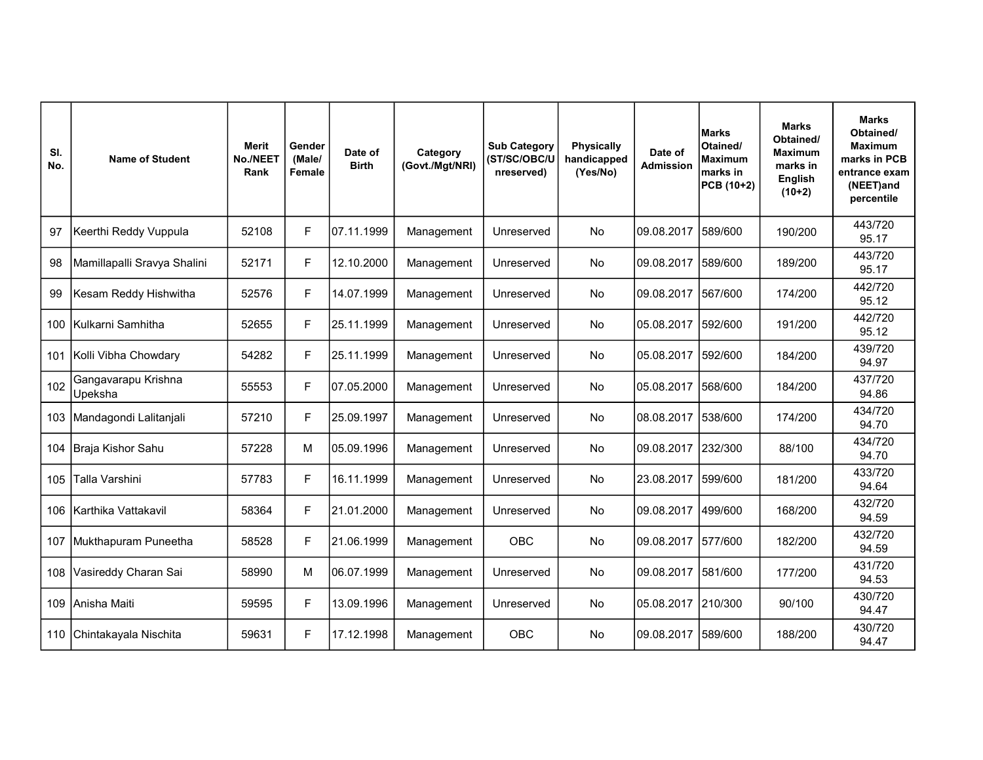| SI.<br>No. | <b>Name of Student</b>         | <b>Merit</b><br>No./NEET<br>Rank | Gender<br>(Male/<br>Female | Date of<br><b>Birth</b> | Category<br>(Govt./Mgt/NRI) | <b>Sub Category</b><br>(ST/SC/OBC/U<br>nreserved) | <b>Physically</b><br>handicapped<br>(Yes/No) | Date of<br><b>Admission</b> | <b>Marks</b><br>Otained/<br><b>Maximum</b><br>marks in<br>PCB (10+2) | <b>Marks</b><br>Obtained/<br><b>Maximum</b><br>marks in<br>English<br>$(10+2)$ | <b>Marks</b><br>Obtained/<br><b>Maximum</b><br>marks in PCB<br>entrance exam<br>(NEET)and<br>percentile |
|------------|--------------------------------|----------------------------------|----------------------------|-------------------------|-----------------------------|---------------------------------------------------|----------------------------------------------|-----------------------------|----------------------------------------------------------------------|--------------------------------------------------------------------------------|---------------------------------------------------------------------------------------------------------|
| 97         | Keerthi Reddy Vuppula          | 52108                            | F                          | 07.11.1999              | Management                  | Unreserved                                        | No                                           | 09.08.2017                  | 589/600                                                              | 190/200                                                                        | 443/720<br>95.17                                                                                        |
| 98         | Mamillapalli Sravya Shalini    | 52171                            | F.                         | 12.10.2000              | Management                  | Unreserved                                        | No                                           | 09.08.2017                  | 589/600                                                              | 189/200                                                                        | 443/720<br>95.17                                                                                        |
| 99         | Kesam Reddy Hishwitha          | 52576                            | F                          | 14.07.1999              | Management                  | Unreserved                                        | No                                           | 09.08.2017                  | 567/600                                                              | 174/200                                                                        | 442/720<br>95.12                                                                                        |
| 100        | Kulkarni Samhitha              | 52655                            | F                          | 25.11.1999              | Management                  | Unreserved                                        | <b>No</b>                                    | 05.08.2017                  | 592/600                                                              | 191/200                                                                        | 442/720<br>95.12                                                                                        |
| 101        | Kolli Vibha Chowdary           | 54282                            | F                          | 25.11.1999              | Management                  | Unreserved                                        | <b>No</b>                                    | 05.08.2017                  | 592/600                                                              | 184/200                                                                        | 439/720<br>94.97                                                                                        |
| 102        | Gangavarapu Krishna<br>Upeksha | 55553                            | F                          | 07.05.2000              | Management                  | Unreserved                                        | <b>No</b>                                    | 05.08.2017                  | 568/600                                                              | 184/200                                                                        | 437/720<br>94.86                                                                                        |
| 103        | Mandagondi Lalitanjali         | 57210                            | F.                         | 25.09.1997              | Management                  | Unreserved                                        | No                                           | 08.08.2017                  | 538/600                                                              | 174/200                                                                        | 434/720<br>94.70                                                                                        |
| 104        | Braja Kishor Sahu              | 57228                            | м                          | 05.09.1996              | Management                  | Unreserved                                        | No                                           | 09.08.2017                  | 232/300                                                              | 88/100                                                                         | 434/720<br>94.70                                                                                        |
| 105        | Talla Varshini                 | 57783                            | F                          | 16.11.1999              | Management                  | Unreserved                                        | No                                           | 23.08.2017                  | 599/600                                                              | 181/200                                                                        | 433/720<br>94.64                                                                                        |
| 106        | Karthika Vattakavil            | 58364                            | F                          | 21.01.2000              | Management                  | Unreserved                                        | <b>No</b>                                    | 09.08.2017                  | 499/600                                                              | 168/200                                                                        | 432/720<br>94.59                                                                                        |
| 107        | Mukthapuram Puneetha           | 58528                            | F                          | 21.06.1999              | Management                  | <b>OBC</b>                                        | No                                           | 09.08.2017                  | 577/600                                                              | 182/200                                                                        | 432/720<br>94.59                                                                                        |
| 108        | Vasireddy Charan Sai           | 58990                            | м                          | 06.07.1999              | Management                  | Unreserved                                        | <b>No</b>                                    | 09.08.2017                  | 581/600                                                              | 177/200                                                                        | 431/720<br>94.53                                                                                        |
| 109        | Anisha Maiti                   | 59595                            | F                          | 13.09.1996              | Management                  | Unreserved                                        | No                                           | 05.08.2017                  | 210/300                                                              | 90/100                                                                         | 430/720<br>94.47                                                                                        |
| 110        | Chintakayala Nischita          | 59631                            | F                          | 17.12.1998              | Management                  | OBC                                               | <b>No</b>                                    | 09.08.2017                  | 589/600                                                              | 188/200                                                                        | 430/720<br>94.47                                                                                        |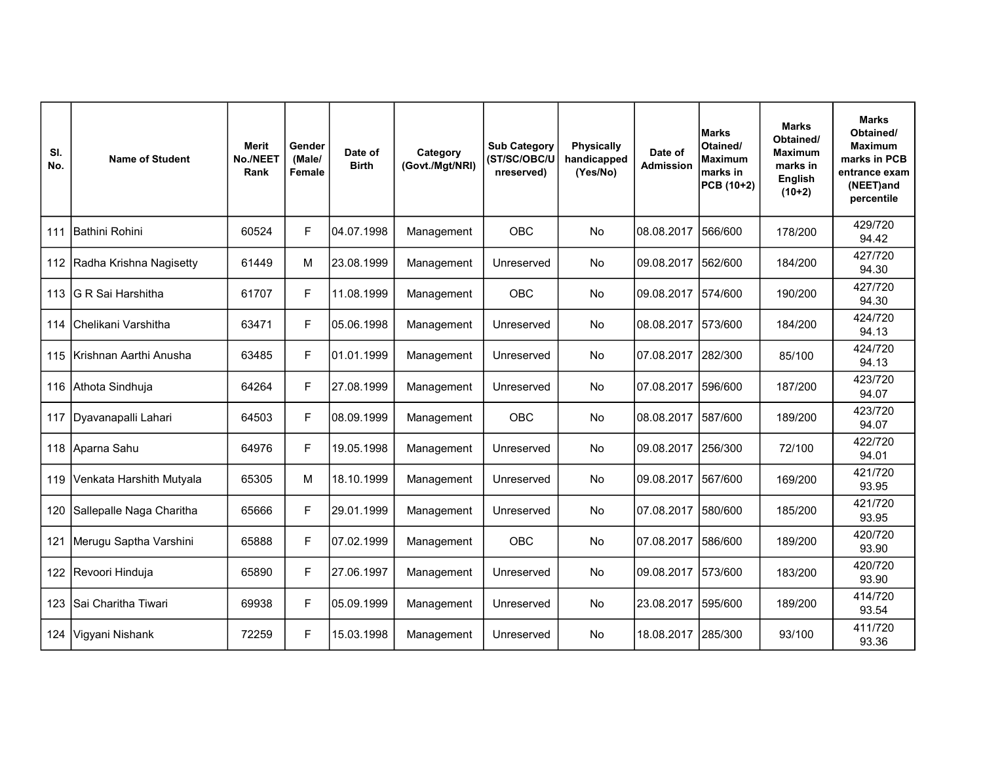| SI.<br>No. | <b>Name of Student</b>   | <b>Merit</b><br>No./NEET<br>Rank | Gender<br>(Male/<br>Female | Date of<br><b>Birth</b> | Category<br>(Govt./Mgt/NRI) | <b>Sub Category</b><br>(ST/SC/OBC/U<br>nreserved) | <b>Physically</b><br>handicapped<br>(Yes/No) | Date of<br><b>Admission</b> | <b>Marks</b><br>Otained/<br><b>Maximum</b><br>marks in<br>PCB (10+2) | <b>Marks</b><br>Obtained/<br><b>Maximum</b><br>marks in<br>English<br>$(10+2)$ | <b>Marks</b><br>Obtained/<br><b>Maximum</b><br>marks in PCB<br>entrance exam<br>(NEET)and<br>percentile |
|------------|--------------------------|----------------------------------|----------------------------|-------------------------|-----------------------------|---------------------------------------------------|----------------------------------------------|-----------------------------|----------------------------------------------------------------------|--------------------------------------------------------------------------------|---------------------------------------------------------------------------------------------------------|
| 111        | Bathini Rohini           | 60524                            | F                          | 04.07.1998              | Management                  | <b>OBC</b>                                        | <b>No</b>                                    | 08.08.2017                  | 566/600                                                              | 178/200                                                                        | 429/720<br>94.42                                                                                        |
| 112        | Radha Krishna Nagisetty  | 61449                            | M                          | 23.08.1999              | Management                  | Unreserved                                        | No                                           | 09.08.2017                  | 562/600                                                              | 184/200                                                                        | 427/720<br>94.30                                                                                        |
| 113        | IG R Sai Harshitha       | 61707                            | F                          | 11.08.1999              | Management                  | <b>OBC</b>                                        | No                                           | 09.08.2017                  | 574/600                                                              | 190/200                                                                        | 427/720<br>94.30                                                                                        |
| 114        | Chelikani Varshitha      | 63471                            | F                          | 05.06.1998              | Management                  | Unreserved                                        | <b>No</b>                                    | 08.08.2017                  | 573/600                                                              | 184/200                                                                        | 424/720<br>94.13                                                                                        |
| 115        | Krishnan Aarthi Anusha   | 63485                            | F                          | 01.01.1999              | Management                  | Unreserved                                        | <b>No</b>                                    | 07.08.2017                  | 282/300                                                              | 85/100                                                                         | 424/720<br>94.13                                                                                        |
| 116        | Athota Sindhuja          | 64264                            | F                          | 27.08.1999              | Management                  | Unreserved                                        | <b>No</b>                                    | 07.08.2017                  | 596/600                                                              | 187/200                                                                        | 423/720<br>94.07                                                                                        |
| 117        | Dyavanapalli Lahari      | 64503                            | F                          | 08.09.1999              | Management                  | OBC                                               | No                                           | 08.08.2017                  | 587/600                                                              | 189/200                                                                        | 423/720<br>94.07                                                                                        |
| 118        | Aparna Sahu              | 64976                            | F                          | 19.05.1998              | Management                  | Unreserved                                        | No                                           | 09.08.2017                  | 256/300                                                              | 72/100                                                                         | 422/720<br>94.01                                                                                        |
| 119        | Venkata Harshith Mutyala | 65305                            | м                          | 18.10.1999              | Management                  | Unreserved                                        | No                                           | 09.08.2017                  | 567/600                                                              | 169/200                                                                        | 421/720<br>93.95                                                                                        |
| 120        | Sallepalle Naga Charitha | 65666                            | F                          | 29.01.1999              | Management                  | Unreserved                                        | <b>No</b>                                    | 07.08.2017                  | 580/600                                                              | 185/200                                                                        | 421/720<br>93.95                                                                                        |
| 121        | Merugu Saptha Varshini   | 65888                            | F                          | 07.02.1999              | Management                  | <b>OBC</b>                                        | <b>No</b>                                    | 07.08.2017                  | 586/600                                                              | 189/200                                                                        | 420/720<br>93.90                                                                                        |
| 122        | Revoori Hinduja          | 65890                            | F                          | 27.06.1997              | Management                  | Unreserved                                        | <b>No</b>                                    | 09.08.2017                  | 573/600                                                              | 183/200                                                                        | 420/720<br>93.90                                                                                        |
| 123        | Sai Charitha Tiwari      | 69938                            | F                          | 05.09.1999              | Management                  | Unreserved                                        | No                                           | 23.08.2017                  | 595/600                                                              | 189/200                                                                        | 414/720<br>93.54                                                                                        |
| 124        | Vigyani Nishank          | 72259                            | F                          | 15.03.1998              | Management                  | Unreserved                                        | <b>No</b>                                    | 18.08.2017                  | 285/300                                                              | 93/100                                                                         | 411/720<br>93.36                                                                                        |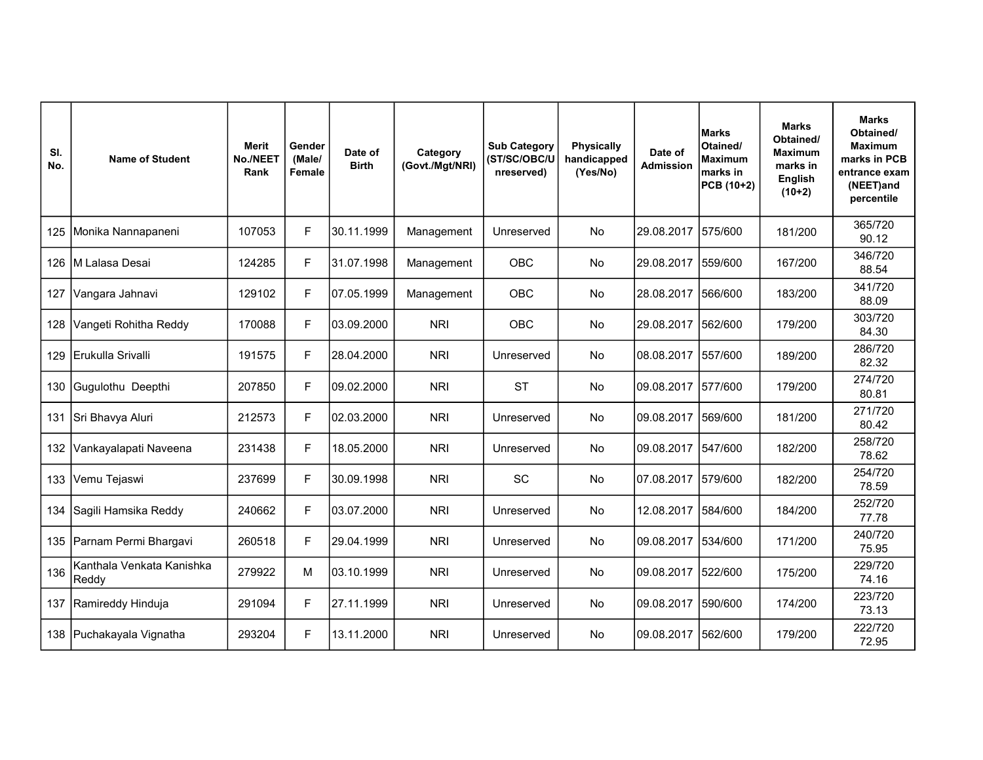| SI.<br>No. | <b>Name of Student</b>             | <b>Merit</b><br>No./NEET<br>Rank | Gender<br>(Male/<br>Female | Date of<br><b>Birth</b> | Category<br>(Govt./Mgt/NRI) | <b>Sub Category</b><br>(ST/SC/OBC/U<br>nreserved) | <b>Physically</b><br>handicapped<br>(Yes/No) | Date of<br><b>Admission</b> | <b>Marks</b><br>Otained/<br>Maximum<br>marks in<br>PCB (10+2) | <b>Marks</b><br>Obtained/<br><b>Maximum</b><br>marks in<br>English<br>$(10+2)$ | <b>Marks</b><br>Obtained/<br><b>Maximum</b><br>marks in PCB<br>entrance exam<br>(NEET)and<br>percentile |
|------------|------------------------------------|----------------------------------|----------------------------|-------------------------|-----------------------------|---------------------------------------------------|----------------------------------------------|-----------------------------|---------------------------------------------------------------|--------------------------------------------------------------------------------|---------------------------------------------------------------------------------------------------------|
|            | 125 Monika Nannapaneni             | 107053                           | F.                         | 30.11.1999              | Management                  | Unreserved                                        | No                                           | 29.08.2017                  | 575/600                                                       | 181/200                                                                        | 365/720<br>90.12                                                                                        |
| 126        | M Lalasa Desai                     | 124285                           | F                          | 31.07.1998              | Management                  | OBC                                               | <b>No</b>                                    | 29.08.2017                  | 559/600                                                       | 167/200                                                                        | 346/720<br>88.54                                                                                        |
| 127        | Vangara Jahnavi                    | 129102                           | F                          | 07.05.1999              | Management                  | OBC                                               | <b>No</b>                                    | 28.08.2017                  | 566/600                                                       | 183/200                                                                        | 341/720<br>88.09                                                                                        |
| 128        | Vangeti Rohitha Reddy              | 170088                           | F                          | 03.09.2000              | <b>NRI</b>                  | OBC                                               | No                                           | 29.08.2017                  | 562/600                                                       | 179/200                                                                        | 303/720<br>84.30                                                                                        |
| 129        | Erukulla Srivalli                  | 191575                           | F                          | 28.04.2000              | <b>NRI</b>                  | Unreserved                                        | <b>No</b>                                    | 08.08.2017                  | 557/600                                                       | 189/200                                                                        | 286/720<br>82.32                                                                                        |
| 130        | Gugulothu Deepthi                  | 207850                           | F.                         | 09.02.2000              | <b>NRI</b>                  | <b>ST</b>                                         | No                                           | 09.08.2017 577/600          |                                                               | 179/200                                                                        | 274/720<br>80.81                                                                                        |
| 131        | Sri Bhavya Aluri                   | 212573                           | F.                         | 02.03.2000              | <b>NRI</b>                  | Unreserved                                        | No                                           | 09.08.2017                  | 569/600                                                       | 181/200                                                                        | 271/720<br>80.42                                                                                        |
| 132        | Vankayalapati Naveena              | 231438                           | F                          | 18.05.2000              | <b>NRI</b>                  | Unreserved                                        | <b>No</b>                                    | 09.08.2017                  | 547/600                                                       | 182/200                                                                        | 258/720<br>78.62                                                                                        |
| 133        | Vemu Tejaswi                       | 237699                           | F                          | 30.09.1998              | <b>NRI</b>                  | SC                                                | <b>No</b>                                    | 07.08.2017                  | 579/600                                                       | 182/200                                                                        | 254/720<br>78.59                                                                                        |
| 134        | Sagili Hamsika Reddy               | 240662                           | F                          | 03.07.2000              | <b>NRI</b>                  | Unreserved                                        | No                                           | 12.08.2017                  | 584/600                                                       | 184/200                                                                        | 252/720<br>77.78                                                                                        |
| 135        | Parnam Permi Bhargavi              | 260518                           | F.                         | 29.04.1999              | <b>NRI</b>                  | Unreserved                                        | <b>No</b>                                    | 09.08.2017                  | 534/600                                                       | 171/200                                                                        | 240/720<br>75.95                                                                                        |
| 136        | Kanthala Venkata Kanishka<br>Reddy | 279922                           | M                          | 03.10.1999              | <b>NRI</b>                  | Unreserved                                        | No                                           | 09.08.2017                  | 522/600                                                       | 175/200                                                                        | 229/720<br>74.16                                                                                        |
| 137        | Ramireddy Hinduja                  | 291094                           | F                          | 27.11.1999              | <b>NRI</b>                  | Unreserved                                        | No                                           | 09.08.2017                  | 590/600                                                       | 174/200                                                                        | 223/720<br>73.13                                                                                        |
|            | 138 Puchakayala Vignatha           | 293204                           | F                          | 13.11.2000              | <b>NRI</b>                  | Unreserved                                        | <b>No</b>                                    | 09.08.2017                  | 562/600                                                       | 179/200                                                                        | 222/720<br>72.95                                                                                        |